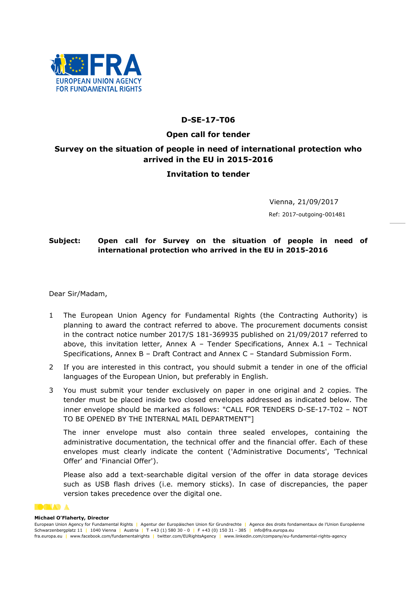

## D-SE-17-T06

### Open call for tender

# Survey on the situation of people in need of international protection who arrived in the EU in 2015-2016

## Invitation to tender

Vienna, 21/09/2017 Ref: 2017-outgoing-001481

# Subject: Open call for Survey on the situation of people in need of international protection who arrived in the EU in 2015-2016

Dear Sir/Madam,

- 1 The European Union Agency for Fundamental Rights (the Contracting Authority) is planning to award the contract referred to above. The procurement documents consist in the contract notice number 2017/S 181-369935 published on 21/09/2017 referred to above, this invitation letter, Annex A – Tender Specifications, Annex A.1 – Technical Specifications, Annex B – Draft Contract and Annex C – Standard Submission Form.
- 2 If you are interested in this contract, you should submit a tender in one of the official languages of the European Union, but preferably in English.
- 3 You must submit your tender exclusively on paper in one original and 2 copies. The tender must be placed inside two closed envelopes addressed as indicated below. The inner envelope should be marked as follows: "CALL FOR TENDERS D-SE-17-T02 – NOT TO BE OPENED BY THE INTERNAL MAIL DEPARTMENT"]

The inner envelope must also contain three sealed envelopes, containing the administrative documentation, the technical offer and the financial offer. Each of these envelopes must clearly indicate the content ('Administrative Documents', 'Technical Offer' and 'Financial Offer').

Please also add a text-searchable digital version of the offer in data storage devices such as USB flash drives (i.e. memory sticks). In case of discrepancies, the paper version takes precedence over the digital one.

#### **OGLAD A**

#### Michael O'Flaherty, Director

European Union Agency for Fundamental Rights | Agentur der Europäischen Union für Grundrechte | Agence des droits fondamentaux de l'Union Européenne Schwarzenbergplatz 11 | 1040 Vienna | Austria | T +43 (1) 580 30 - 0 | F +43 (0) 150 31 - 385 | info@fra.europa.eu fra.europa.eu | www.facebook.com/fundamentalrights | twitter.com/EURightsAgency | www.linkedin.com/company/eu-fundamental-rights-agency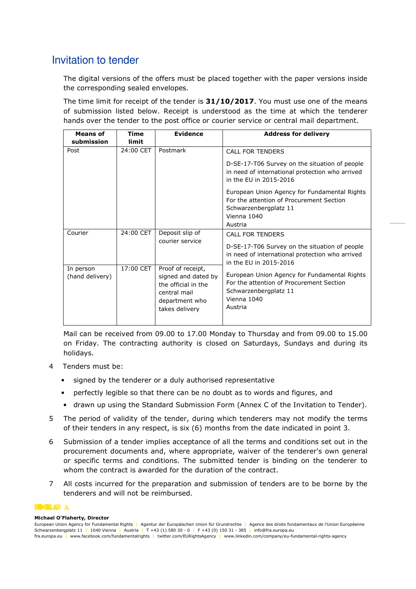# Invitation to tender

The digital versions of the offers must be placed together with the paper versions inside the corresponding sealed envelopes.

The time limit for receipt of the tender is 31/10/2017. You must use one of the means of submission listed below. Receipt is understood as the time at which the tenderer hands over the tender to the post office or courier service or central mail department.

| <b>Means of</b>              | <b>Time</b>        | <b>Evidence</b>                                                                                                     | <b>Address for delivery</b>                                                                                                                 |
|------------------------------|--------------------|---------------------------------------------------------------------------------------------------------------------|---------------------------------------------------------------------------------------------------------------------------------------------|
| submission<br>Post           | limit<br>24:00 CET | Postmark                                                                                                            | <b>CALL FOR TENDERS</b>                                                                                                                     |
|                              |                    |                                                                                                                     | D-SE-17-T06 Survey on the situation of people<br>in need of international protection who arrived<br>in the FU in 2015-2016                  |
|                              |                    |                                                                                                                     | European Union Agency for Fundamental Rights<br>For the attention of Procurement Section<br>Schwarzenbergplatz 11<br>Vienna 1040<br>Austria |
| Courier                      | 24:00 CET          | Deposit slip of<br><b>CALL FOR TENDERS</b><br>courier service                                                       |                                                                                                                                             |
|                              |                    |                                                                                                                     | D-SE-17-T06 Survey on the situation of people<br>in need of international protection who arrived<br>in the FU in 2015-2016                  |
| In person<br>(hand delivery) | 17:00 CET          | Proof of receipt,<br>signed and dated by<br>the official in the<br>central mail<br>department who<br>takes delivery | European Union Agency for Fundamental Rights<br>For the attention of Procurement Section<br>Schwarzenbergplatz 11<br>Vienna 1040<br>Austria |

Mail can be received from 09.00 to 17.00 Monday to Thursday and from 09.00 to 15.00 on Friday. The contracting authority is closed on Saturdays, Sundays and during its holidays.

- 4 Tenders must be:
	- signed by the tenderer or a duly authorised representative
	- perfectly legible so that there can be no doubt as to words and figures, and
	- drawn up using the Standard Submission Form (Annex C of the Invitation to Tender).
- 5 The period of validity of the tender, during which tenderers may not modify the terms of their tenders in any respect, is six (6) months from the date indicated in point 3.
- 6 Submission of a tender implies acceptance of all the terms and conditions set out in the procurement documents and, where appropriate, waiver of the tenderer's own general or specific terms and conditions. The submitted tender is binding on the tenderer to whom the contract is awarded for the duration of the contract.
- 7 All costs incurred for the preparation and submission of tenders are to be borne by the tenderers and will not be reimbursed.

### **BOXADA**

#### Michael O'Flaherty, Director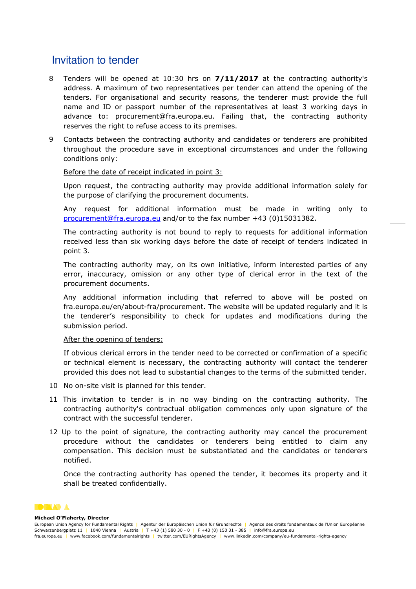# Invitation to tender

- 8 Tenders will be opened at 10:30 hrs on 7/11/2017 at the contracting authority's address. A maximum of two representatives per tender can attend the opening of the tenders. For organisational and security reasons, the tenderer must provide the full name and ID or passport number of the representatives at least 3 working days in advance to: procurement@fra.europa.eu. Failing that, the contracting authority reserves the right to refuse access to its premises.
- 9 Contacts between the contracting authority and candidates or tenderers are prohibited throughout the procedure save in exceptional circumstances and under the following conditions only:

#### Before the date of receipt indicated in point 3:

Upon request, the contracting authority may provide additional information solely for the purpose of clarifying the procurement documents.

Any request for additional information must be made in writing only to procurement@fra.europa.eu and/or to the fax number +43 (0)15031382.

The contracting authority is not bound to reply to requests for additional information received less than six working days before the date of receipt of tenders indicated in point 3.

The contracting authority may, on its own initiative, inform interested parties of any error, inaccuracy, omission or any other type of clerical error in the text of the procurement documents.

Any additional information including that referred to above will be posted on fra.europa.eu/en/about-fra/procurement. The website will be updated regularly and it is the tenderer's responsibility to check for updates and modifications during the submission period.

### After the opening of tenders:

If obvious clerical errors in the tender need to be corrected or confirmation of a specific or technical element is necessary, the contracting authority will contact the tenderer provided this does not lead to substantial changes to the terms of the submitted tender.

- 10 No on-site visit is planned for this tender.
- 11 This invitation to tender is in no way binding on the contracting authority. The contracting authority's contractual obligation commences only upon signature of the contract with the successful tenderer.
- 12 Up to the point of signature, the contracting authority may cancel the procurement procedure without the candidates or tenderers being entitled to claim any compensation. This decision must be substantiated and the candidates or tenderers notified.

Once the contracting authority has opened the tender, it becomes its property and it shall be treated confidentially.



#### Michael O'Flaherty, Director